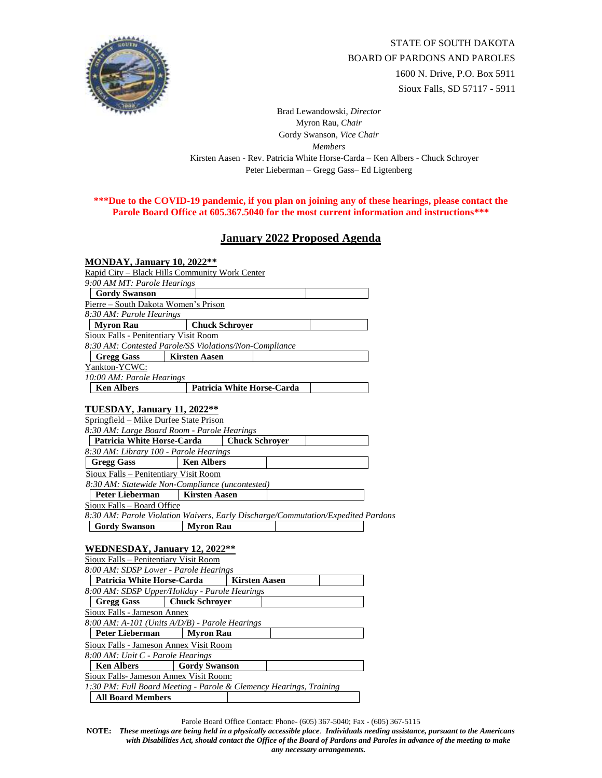

Brad Lewandowski, *Director* Myron Rau, *Chair*  Gordy Swanson, *Vice Chair Members* Kirsten Aasen - Rev. Patricia White Horse-Carda – Ken Albers - Chuck Schroyer Peter Lieberman – Gregg Gass– Ed Ligtenberg

## **\*\*\*Due to the COVID-19 pandemic, if you plan on joining any of these hearings, please contact the Parole Board Office at 605.367.5040 for the most current information and instructions\*\*\***

## **January 2022 Proposed Agenda**

| <b>MONDAY, January 10, 2022**</b>                                          |                                                                                                      |
|----------------------------------------------------------------------------|------------------------------------------------------------------------------------------------------|
|                                                                            | Rapid City – Black Hills Community Work Center                                                       |
| 9:00 AM MT: Parole Hearings                                                |                                                                                                      |
| <b>Gordy Swanson</b>                                                       |                                                                                                      |
| Pierre - South Dakota Women's Prison                                       |                                                                                                      |
| 8:30 AM: Parole Hearings                                                   |                                                                                                      |
| <b>Myron Rau</b>                                                           | <b>Chuck Schroyer</b>                                                                                |
| <b>Sioux Falls - Penitentiary Visit Room</b>                               |                                                                                                      |
|                                                                            | 8:30 AM: Contested Parole/SS Violations/Non-Compliance                                               |
| <b>Gregg Gass</b>                                                          | <b>Kirsten Aasen</b>                                                                                 |
| Yankton-YCWC:                                                              |                                                                                                      |
| 10:00 AM: Parole Hearings<br><b>Ken Albers</b>                             | Patricia White Horse-Carda                                                                           |
|                                                                            |                                                                                                      |
|                                                                            |                                                                                                      |
| TUESDAY, January 11, 2022**<br>Springfield – Mike Durfee State Prison      |                                                                                                      |
|                                                                            | 8:30 AM: Large Board Room - Parole Hearings                                                          |
| <b>Patricia White Horse-Carda</b>                                          | <b>Chuck Schroyer</b>                                                                                |
| 8:30 AM: Library 100 - Parole Hearings                                     |                                                                                                      |
|                                                                            |                                                                                                      |
|                                                                            |                                                                                                      |
| <b>Gregg Gass</b>                                                          | <b>Ken Albers</b>                                                                                    |
| Sioux Falls - Penitentiary Visit Room                                      |                                                                                                      |
|                                                                            | 8:30 AM: Statewide Non-Compliance (uncontested)                                                      |
| <b>Peter Lieberman</b>                                                     | <b>Kirsten Aasen</b>                                                                                 |
| Sioux Falls - Board Office                                                 |                                                                                                      |
|                                                                            | 8:30 AM: Parole Violation Waivers, Early Discharge/Commutation/Expedited Pardons<br><b>Myron Rau</b> |
| <b>Gordy Swanson</b>                                                       |                                                                                                      |
|                                                                            |                                                                                                      |
| WEDNESDAY, January 12, 2022**                                              |                                                                                                      |
| Sioux Falls - Penitentiary Visit Room                                      |                                                                                                      |
| 8:00 AM: SDSP Lower - Parole Hearings<br><b>Patricia White Horse-Carda</b> | <b>Kirsten Aasen</b>                                                                                 |
|                                                                            |                                                                                                      |
| <b>Gregg Gass</b>                                                          | 8:00 AM: SDSP Upper/Holiday - Parole Hearings                                                        |
| Sioux Falls - Jameson Annex                                                | <b>Chuck Schroyer</b>                                                                                |
|                                                                            | 8:00 AM: A-101 (Units A/D/B) - Parole Hearings                                                       |
| Peter Lieberman                                                            | <b>Myron Rau</b>                                                                                     |
| Sioux Falls - Jameson Annex Visit Room                                     |                                                                                                      |

**Ken Albers Gordy Swanson** 

## Sioux Falls- Jameson Annex Visit Room:

*1:30 PM: Full Board Meeting - Parole & Clemency Hearings, Training*  **All Board Members** 

Parole Board Office Contact: Phone- (605) 367-5040; Fax - (605) 367-5115

**NOTE:** *These meetings are being held in a physically accessible place*. *Individuals needing assistance, pursuant to the Americans with Disabilities Act, should contact the Office of the Board of Pardons and Paroles in advance of the meeting to make any necessary arrangements.*